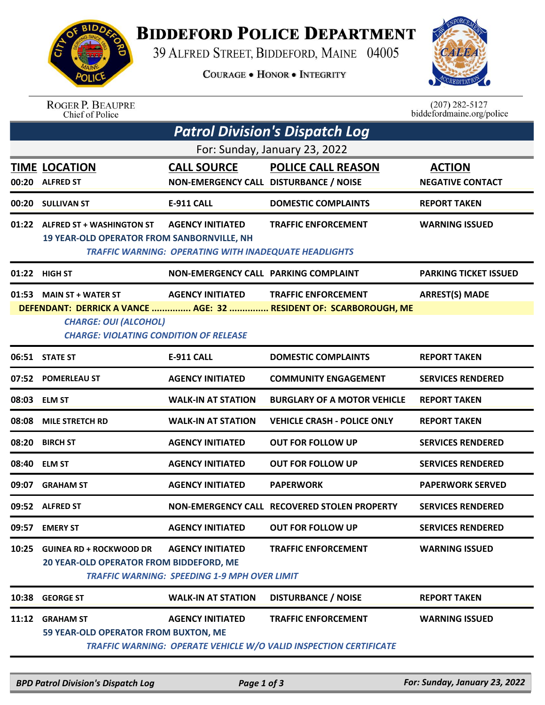

## **BIDDEFORD POLICE DEPARTMENT**

39 ALFRED STREET, BIDDEFORD, MAINE 04005

**COURAGE . HONOR . INTEGRITY** 



| <b>ROGER P. BEAUPRE</b> |
|-------------------------|
| Chief of Police         |

 $(207)$  282-5127<br>biddefordmaine.org/police

|                               | <b>Patrol Division's Dispatch Log</b>                                         |                                                              |                                                                          |                              |  |  |  |  |
|-------------------------------|-------------------------------------------------------------------------------|--------------------------------------------------------------|--------------------------------------------------------------------------|------------------------------|--|--|--|--|
| For: Sunday, January 23, 2022 |                                                                               |                                                              |                                                                          |                              |  |  |  |  |
|                               | <b>TIME LOCATION</b>                                                          | <b>CALL SOURCE</b>                                           | <b>POLICE CALL REASON</b>                                                | <b>ACTION</b>                |  |  |  |  |
| 00:20                         | <b>ALFRED ST</b>                                                              | NON-EMERGENCY CALL DISTURBANCE / NOISE                       |                                                                          | <b>NEGATIVE CONTACT</b>      |  |  |  |  |
| 00:20                         | <b>SULLIVAN ST</b>                                                            | <b>E-911 CALL</b>                                            | <b>DOMESTIC COMPLAINTS</b>                                               | <b>REPORT TAKEN</b>          |  |  |  |  |
|                               | 01:22 ALFRED ST + WASHINGTON ST                                               | <b>AGENCY INITIATED</b>                                      | <b>TRAFFIC ENFORCEMENT</b>                                               | <b>WARNING ISSUED</b>        |  |  |  |  |
|                               | <b>19 YEAR-OLD OPERATOR FROM SANBORNVILLE, NH</b>                             | <b>TRAFFIC WARNING: OPERATING WITH INADEQUATE HEADLIGHTS</b> |                                                                          |                              |  |  |  |  |
|                               | 01:22 HIGH ST                                                                 | NON-EMERGENCY CALL PARKING COMPLAINT                         |                                                                          | <b>PARKING TICKET ISSUED</b> |  |  |  |  |
| 01:53                         | <b>MAIN ST + WATER ST</b>                                                     | <b>AGENCY INITIATED</b>                                      | <b>TRAFFIC ENFORCEMENT</b>                                               | <b>ARREST(S) MADE</b>        |  |  |  |  |
|                               |                                                                               |                                                              | DEFENDANT: DERRICK A VANCE  AGE: 32  RESIDENT OF: SCARBOROUGH, ME        |                              |  |  |  |  |
|                               | <b>CHARGE: OUI (ALCOHOL)</b><br><b>CHARGE: VIOLATING CONDITION OF RELEASE</b> |                                                              |                                                                          |                              |  |  |  |  |
|                               | 06:51 STATE ST                                                                | <b>E-911 CALL</b>                                            | <b>DOMESTIC COMPLAINTS</b>                                               | <b>REPORT TAKEN</b>          |  |  |  |  |
| 07:52                         | <b>POMERLEAU ST</b>                                                           | <b>AGENCY INITIATED</b>                                      | <b>COMMUNITY ENGAGEMENT</b>                                              | <b>SERVICES RENDERED</b>     |  |  |  |  |
| 08:03                         | <b>ELM ST</b>                                                                 | <b>WALK-IN AT STATION</b>                                    | <b>BURGLARY OF A MOTOR VEHICLE</b>                                       | <b>REPORT TAKEN</b>          |  |  |  |  |
| 08:08                         | <b>MILE STRETCH RD</b>                                                        | <b>WALK-IN AT STATION</b>                                    | <b>VEHICLE CRASH - POLICE ONLY</b>                                       | <b>REPORT TAKEN</b>          |  |  |  |  |
| 08:20                         | <b>BIRCH ST</b>                                                               | <b>AGENCY INITIATED</b>                                      | <b>OUT FOR FOLLOW UP</b>                                                 | <b>SERVICES RENDERED</b>     |  |  |  |  |
| 08:40                         | <b>ELM ST</b>                                                                 | <b>AGENCY INITIATED</b>                                      | <b>OUT FOR FOLLOW UP</b>                                                 | <b>SERVICES RENDERED</b>     |  |  |  |  |
| 09:07                         | <b>GRAHAM ST</b>                                                              | <b>AGENCY INITIATED</b>                                      | <b>PAPERWORK</b>                                                         | <b>PAPERWORK SERVED</b>      |  |  |  |  |
| 09:52                         | <b>ALFRED ST</b>                                                              |                                                              | NON-EMERGENCY CALL RECOVERED STOLEN PROPERTY                             | <b>SERVICES RENDERED</b>     |  |  |  |  |
|                               | 09:57 EMERY ST                                                                | AGENCY INITIATED                                             | <b>OUT FOR FOLLOW UP</b>                                                 | <b>SERVICES RENDERED</b>     |  |  |  |  |
| 10:25                         | <b>GUINEA RD + ROCKWOOD DR</b>                                                | <b>AGENCY INITIATED</b>                                      | <b>TRAFFIC ENFORCEMENT</b>                                               | <b>WARNING ISSUED</b>        |  |  |  |  |
|                               | 20 YEAR-OLD OPERATOR FROM BIDDEFORD, ME                                       | <b>TRAFFIC WARNING: SPEEDING 1-9 MPH OVER LIMIT</b>          |                                                                          |                              |  |  |  |  |
| 10:38                         | <b>GEORGE ST</b>                                                              | <b>WALK-IN AT STATION</b>                                    | <b>DISTURBANCE / NOISE</b>                                               | <b>REPORT TAKEN</b>          |  |  |  |  |
| 11:12                         | <b>GRAHAM ST</b>                                                              | <b>AGENCY INITIATED</b>                                      | <b>TRAFFIC ENFORCEMENT</b>                                               | <b>WARNING ISSUED</b>        |  |  |  |  |
|                               | 59 YEAR-OLD OPERATOR FROM BUXTON, ME                                          |                                                              | <b>TRAFFIC WARNING: OPERATE VEHICLE W/O VALID INSPECTION CERTIFICATE</b> |                              |  |  |  |  |
|                               |                                                                               |                                                              |                                                                          |                              |  |  |  |  |

*BPD Patrol Division's Dispatch Log Page 1 of 3 For: Sunday, January 23, 2022*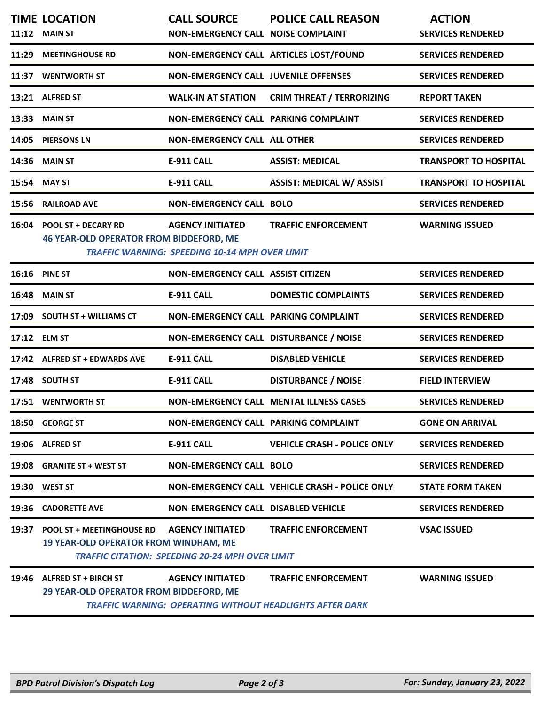| 11:12 | <b>TIME LOCATION</b><br><b>MAIN ST</b>                                          | <b>CALL SOURCE</b><br>NON-EMERGENCY CALL NOISE COMPLAINT                          | <b>POLICE CALL REASON</b>                                                                     | <b>ACTION</b><br><b>SERVICES RENDERED</b> |
|-------|---------------------------------------------------------------------------------|-----------------------------------------------------------------------------------|-----------------------------------------------------------------------------------------------|-------------------------------------------|
| 11:29 | <b>MEETINGHOUSE RD</b>                                                          |                                                                                   | NON-EMERGENCY CALL ARTICLES LOST/FOUND                                                        | <b>SERVICES RENDERED</b>                  |
|       | 11:37 WENTWORTH ST                                                              | <b>NON-EMERGENCY CALL JUVENILE OFFENSES</b>                                       |                                                                                               | <b>SERVICES RENDERED</b>                  |
|       | 13:21 ALFRED ST                                                                 | <b>WALK-IN AT STATION</b>                                                         | <b>CRIM THREAT / TERRORIZING</b>                                                              | <b>REPORT TAKEN</b>                       |
| 13:33 | <b>MAIN ST</b>                                                                  | <b>NON-EMERGENCY CALL PARKING COMPLAINT</b>                                       |                                                                                               | <b>SERVICES RENDERED</b>                  |
| 14:05 | <b>PIERSONS LN</b>                                                              | <b>NON-EMERGENCY CALL ALL OTHER</b>                                               |                                                                                               | <b>SERVICES RENDERED</b>                  |
| 14:36 | <b>MAIN ST</b>                                                                  | <b>E-911 CALL</b>                                                                 | <b>ASSIST: MEDICAL</b>                                                                        | <b>TRANSPORT TO HOSPITAL</b>              |
| 15:54 | <b>MAY ST</b>                                                                   | <b>E-911 CALL</b>                                                                 | <b>ASSIST: MEDICAL W/ ASSIST</b>                                                              | <b>TRANSPORT TO HOSPITAL</b>              |
| 15:56 | <b>RAILROAD AVE</b>                                                             | <b>NON-EMERGENCY CALL BOLO</b>                                                    |                                                                                               | <b>SERVICES RENDERED</b>                  |
|       | 16:04 POOL ST + DECARY RD<br><b>46 YEAR-OLD OPERATOR FROM BIDDEFORD, ME</b>     | <b>AGENCY INITIATED</b><br><b>TRAFFIC WARNING: SPEEDING 10-14 MPH OVER LIMIT</b>  | <b>TRAFFIC ENFORCEMENT</b>                                                                    | <b>WARNING ISSUED</b>                     |
|       | 16:16 PINE ST                                                                   | <b>NON-EMERGENCY CALL ASSIST CITIZEN</b>                                          |                                                                                               | <b>SERVICES RENDERED</b>                  |
| 16:48 | <b>MAIN ST</b>                                                                  | <b>E-911 CALL</b>                                                                 | <b>DOMESTIC COMPLAINTS</b>                                                                    | <b>SERVICES RENDERED</b>                  |
|       | 17:09 SOUTH ST + WILLIAMS CT                                                    | <b>NON-EMERGENCY CALL PARKING COMPLAINT</b>                                       |                                                                                               | <b>SERVICES RENDERED</b>                  |
|       | 17:12 ELM ST                                                                    | NON-EMERGENCY CALL DISTURBANCE / NOISE                                            |                                                                                               | <b>SERVICES RENDERED</b>                  |
|       | 17:42 ALFRED ST + EDWARDS AVE                                                   | <b>E-911 CALL</b>                                                                 | <b>DISABLED VEHICLE</b>                                                                       | <b>SERVICES RENDERED</b>                  |
|       | 17:48 SOUTH ST                                                                  | E-911 CALL                                                                        | <b>DISTURBANCE / NOISE</b>                                                                    | <b>FIELD INTERVIEW</b>                    |
|       | 17:51 WENTWORTH ST                                                              |                                                                                   | NON-EMERGENCY CALL MENTAL ILLNESS CASES                                                       | <b>SERVICES RENDERED</b>                  |
|       | 18:50 GEORGE ST                                                                 | NON-EMERGENCY CALL PARKING COMPLAINT                                              |                                                                                               | <b>GONE ON ARRIVAL</b>                    |
|       | 19:06 ALFRED ST                                                                 | <b>E-911 CALL</b>                                                                 | <b>VEHICLE CRASH - POLICE ONLY</b>                                                            | <b>SERVICES RENDERED</b>                  |
| 19:08 | <b>GRANITE ST + WEST ST</b>                                                     | <b>NON-EMERGENCY CALL BOLO</b>                                                    |                                                                                               | <b>SERVICES RENDERED</b>                  |
| 19:30 | <b>WEST ST</b>                                                                  |                                                                                   | NON-EMERGENCY CALL VEHICLE CRASH - POLICE ONLY                                                | <b>STATE FORM TAKEN</b>                   |
|       | 19:36 CADORETTE AVE                                                             | <b>NON-EMERGENCY CALL DISABLED VEHICLE</b>                                        |                                                                                               | <b>SERVICES RENDERED</b>                  |
|       | 19:37 POOL ST + MEETINGHOUSE RD<br><b>19 YEAR-OLD OPERATOR FROM WINDHAM, ME</b> | <b>AGENCY INITIATED</b><br><b>TRAFFIC CITATION: SPEEDING 20-24 MPH OVER LIMIT</b> | <b>TRAFFIC ENFORCEMENT</b>                                                                    | <b>VSAC ISSUED</b>                        |
| 19:46 | <b>ALFRED ST + BIRCH ST</b><br>29 YEAR-OLD OPERATOR FROM BIDDEFORD, ME          | <b>AGENCY INITIATED</b>                                                           | <b>TRAFFIC ENFORCEMENT</b><br><b>TRAFFIC WARNING: OPERATING WITHOUT HEADLIGHTS AFTER DARK</b> | <b>WARNING ISSUED</b>                     |